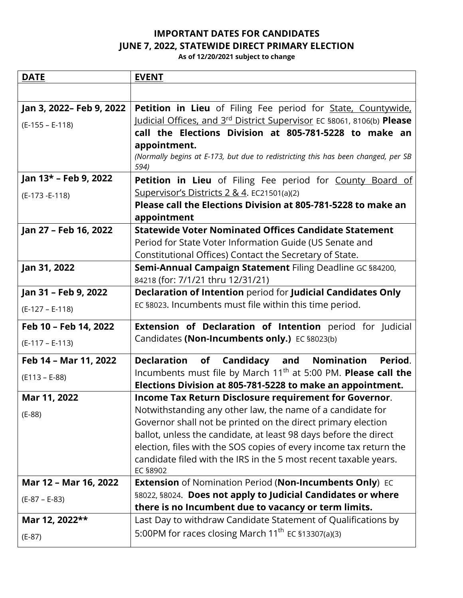## **IMPORTANT DATES FOR CANDIDATES JUNE 7, 2022, STATEWIDE DIRECT PRIMARY ELECTION**

**As of 12/20/2021 subject to change**

| <b>DATE</b>              | <b>EVENT</b>                                                                                                                           |
|--------------------------|----------------------------------------------------------------------------------------------------------------------------------------|
|                          |                                                                                                                                        |
| Jan 3, 2022- Feb 9, 2022 | Petition in Lieu of Filing Fee period for State, Countywide,                                                                           |
| $(E-155 - E-118)$        | Judicial Offices, and 3rd District Supervisor EC §8061, 8106(b) Please                                                                 |
|                          | call the Elections Division at 805-781-5228 to make an                                                                                 |
|                          | appointment.                                                                                                                           |
|                          | (Normally begins at E-173, but due to redistricting this has been changed, per SB<br>594)                                              |
| Jan 13* - Feb 9, 2022    | Petition in Lieu of Filing Fee period for County Board of                                                                              |
| (E-173 - E-118)          | Supervisor's Districts 2 & 4. EC21501(a)(2)                                                                                            |
|                          | Please call the Elections Division at 805-781-5228 to make an                                                                          |
|                          | appointment                                                                                                                            |
| Jan 27 - Feb 16, 2022    | <b>Statewide Voter Nominated Offices Candidate Statement</b>                                                                           |
|                          | Period for State Voter Information Guide (US Senate and                                                                                |
|                          | Constitutional Offices) Contact the Secretary of State.                                                                                |
| Jan 31, 2022             | Semi-Annual Campaign Statement Filing Deadline GC §84200,                                                                              |
|                          | 84218 (for: 7/1/21 thru 12/31/21)<br>Declaration of Intention period for Judicial Candidates Only                                      |
| Jan 31 - Feb 9, 2022     | EC §8023. Incumbents must file within this time period.                                                                                |
| $(E-127 - E-118)$        |                                                                                                                                        |
| Feb 10 - Feb 14, 2022    | Extension of Declaration of Intention period for Judicial                                                                              |
| $(E-117 - E-113)$        | Candidates (Non-Incumbents only.) EC §8023(b)                                                                                          |
| Feb 14 - Mar 11, 2022    | <b>Declaration</b><br>of Candidacy and Nomination<br>Period.                                                                           |
| $(E113 - E-88)$          | Incumbents must file by March 11 <sup>th</sup> at 5:00 PM. Please call the                                                             |
|                          | Elections Division at 805-781-5228 to make an appointment.                                                                             |
| Mar 11, 2022             | Income Tax Return Disclosure requirement for Governor.                                                                                 |
| $(E-88)$                 | Notwithstanding any other law, the name of a candidate for                                                                             |
|                          | Governor shall not be printed on the direct primary election                                                                           |
|                          | ballot, unless the candidate, at least 98 days before the direct                                                                       |
|                          | election, files with the SOS copies of every income tax return the<br>candidate filed with the IRS in the 5 most recent taxable years. |
|                          | EC §8902                                                                                                                               |
| Mar 12 - Mar 16, 2022    | <b>Extension of Nomination Period (Non-Incumbents Only)</b> EC                                                                         |
| $(E-87 - E-83)$          | §8022, §8024. Does not apply to Judicial Candidates or where                                                                           |
|                          | there is no Incumbent due to vacancy or term limits.                                                                                   |
| Mar 12, 2022**           | Last Day to withdraw Candidate Statement of Qualifications by                                                                          |
| $(E-87)$                 | 5:00PM for races closing March 11 <sup>th</sup> EC §13307(a)(3)                                                                        |